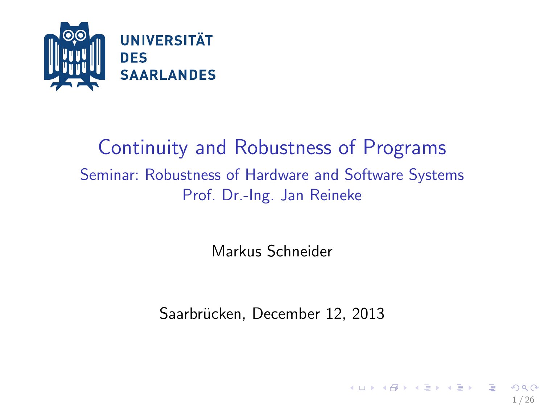

#### Continuity and Robustness of Programs Seminar: Robustness of Hardware and Software Systems Prof. Dr.-Ing. Jan Reineke

Markus Schneider

Saarbrücken, December 12, 2013

1 / 26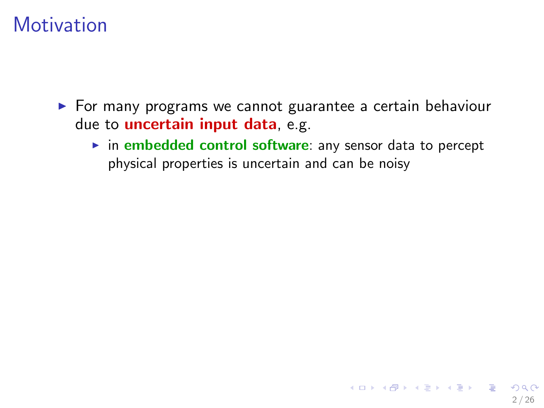- $\triangleright$  For many programs we cannot guarantee a certain behaviour due to *uncertain* input data, e.g.
	- $\triangleright$  in embedded control software: any sensor data to percept physical properties is uncertain and can be noisy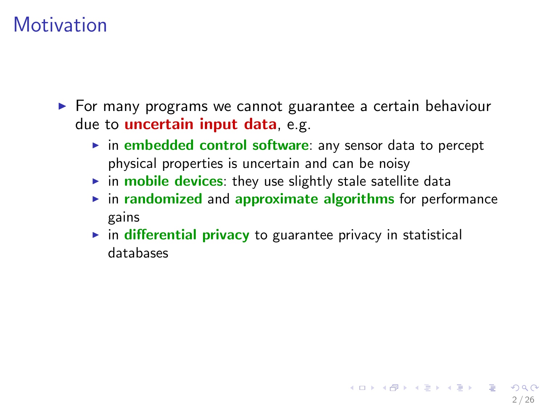$\triangleright$  For many programs we cannot guarantee a certain behaviour due to uncertain input data, e.g.

- $\triangleright$  in embedded control software: any sensor data to percept physical properties is uncertain and can be noisy
- $\triangleright$  in mobile devices: they use slightly stale satellite data
- $\triangleright$  in randomized and approximate algorithms for performance gains
- $\triangleright$  in differential privacy to guarantee privacy in statistical databases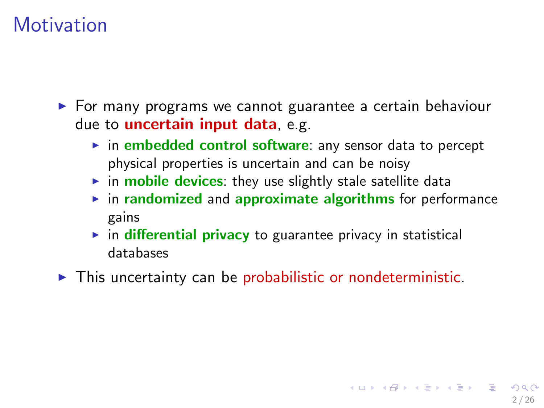$\triangleright$  For many programs we cannot guarantee a certain behaviour due to uncertain input data, e.g.

- $\triangleright$  in embedded control software: any sensor data to percept physical properties is uncertain and can be noisy
- $\triangleright$  in mobile devices: they use slightly stale satellite data
- $\triangleright$  in randomized and approximate algorithms for performance gains
- $\triangleright$  in differential privacy to guarantee privacy in statistical databases
- $\triangleright$  This uncertainty can be probabilistic or nondeterministic.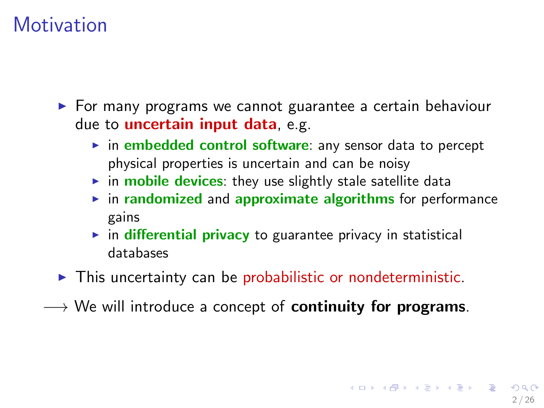$\triangleright$  For many programs we cannot guarantee a certain behaviour due to uncertain input data, e.g.

- $\triangleright$  in embedded control software: any sensor data to percept physical properties is uncertain and can be noisy
- $\triangleright$  in mobile devices: they use slightly stale satellite data
- $\triangleright$  in randomized and approximate algorithms for performance gains
- $\triangleright$  in differential privacy to guarantee privacy in statistical databases
- $\triangleright$  This uncertainty can be probabilistic or nondeterministic.
- $\rightarrow$  We will introduce a concept of **continuity for programs**.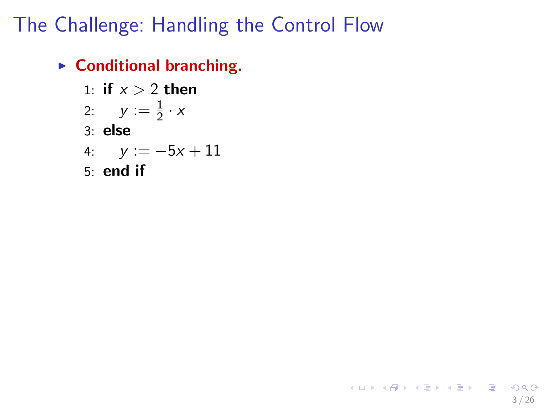### The Challenge: Handling the Control Flow

3 / 26

K ロ ▶ K @ ▶ K 할 ▶ K 할 ▶ ( 할 ) 900

 $\blacktriangleright$  Conditional branching.

- 1: if  $x > 2$  then 2:  $y := \frac{1}{2} \cdot x$ 3: else 4:  $y := -5x + 11$
- 5: end if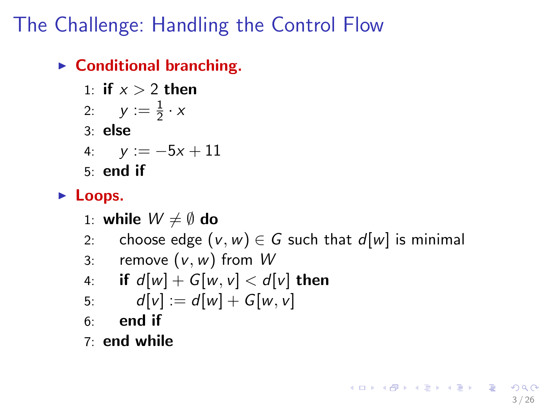### The Challenge: Handling the Control Flow

 $\triangleright$  Conditional branching.

1: if 
$$
x > 2
$$
 then

$$
2: \quad y := \frac{1}{2} \cdot x
$$

3: else

4: 
$$
y := -5x + 11
$$

5: end if

#### $\blacktriangleright$  Loops.

$$
\text{1: while } W \neq \emptyset \text{ do}
$$

2: choose edge  $(v, w) \in G$  such that  $d[w]$  is minimal

3: remove 
$$
(v, w)
$$
 from W

4: if 
$$
d[w] + G[w, v] < d[v]
$$
 then

5: 
$$
d[v] := d[w] + G[w, v]
$$

 $6:$  end if

7: end while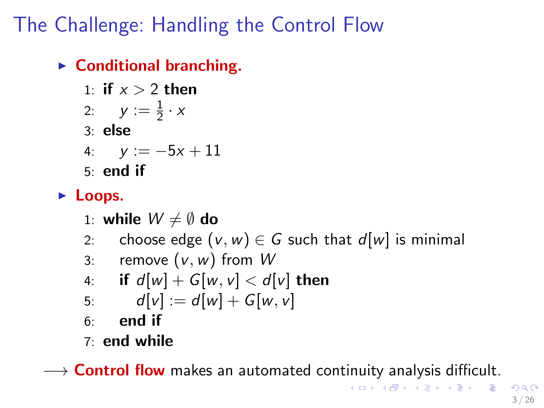# The Challenge: Handling the Control Flow

 $\triangleright$  Conditional branching.

1: if 
$$
x > 2
$$
 then

$$
2: \quad y := \frac{1}{2} \cdot x
$$

3: else

4: 
$$
y := -5x + 11
$$

5: end if

#### $\blacktriangleright$  Loops.

- 1: while  $W \neq \emptyset$  do
- 2: choose edge  $(v, w) \in G$  such that  $d[w]$  is minimal

3: remove 
$$
(v, w)
$$
 from W

4: if 
$$
d[w] + G[w, v] < d[v]
$$
 then

5: 
$$
d[v] := d[w] + G[w, v]
$$

- $6:$  end if
- 7: end while

 $\rightarrow$  Control flow makes an automated continuity analysis difficult.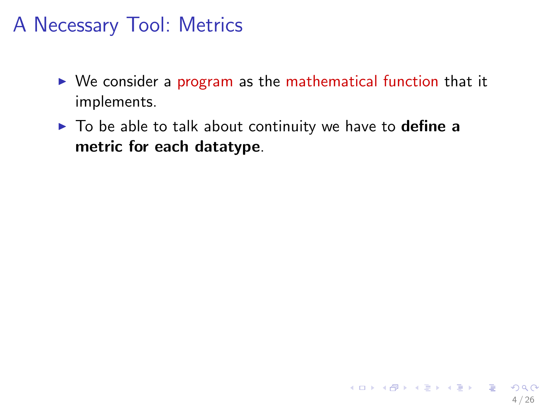### A Necessary Tool: Metrics

- $\triangleright$  We consider a program as the mathematical function that it implements.
- $\triangleright$  To be able to talk about continuity we have to **define a** metric for each datatype.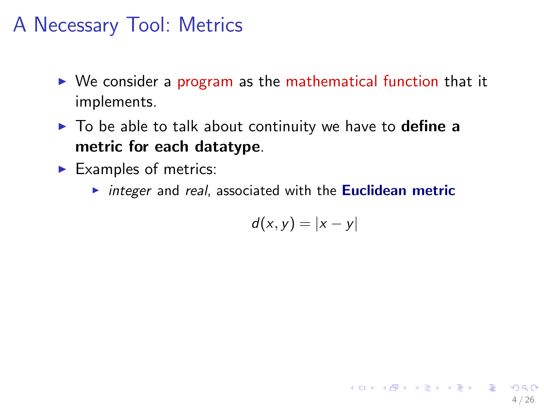#### A Necessary Tool: Metrics

- $\triangleright$  We consider a program as the mathematical function that it implements.
- $\triangleright$  To be able to talk about continuity we have to **define a** metric for each datatype.
- $\blacktriangleright$  Examples of metrics:
	- $\triangleright$  integer and real, associated with the Euclidean metric

$$
d(x,y)=|x-y|
$$

4 / 26

イロト 不優 ト 不思 ト 不思 トー 温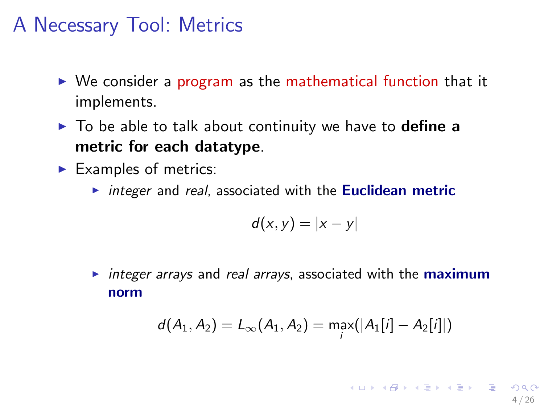#### A Necessary Tool: Metrics

- $\triangleright$  We consider a program as the mathematical function that it implements.
- $\triangleright$  To be able to talk about continuity we have to **define a** metric for each datatype.
- $\blacktriangleright$  Examples of metrics:
	- integer and real, associated with the **Euclidean metric**

$$
d(x,y)=|x-y|
$$

 $\triangleright$  integer arrays and real arrays, associated with the **maximum** norm

$$
d(A_1, A_2) = L_{\infty}(A_1, A_2) = \max_i(|A_1[i] - A_2[i]|)
$$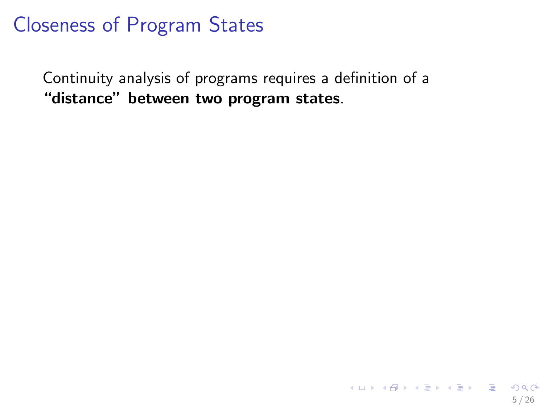#### Closeness of Program States

Continuity analysis of programs requires a definition of a "distance" between two program states.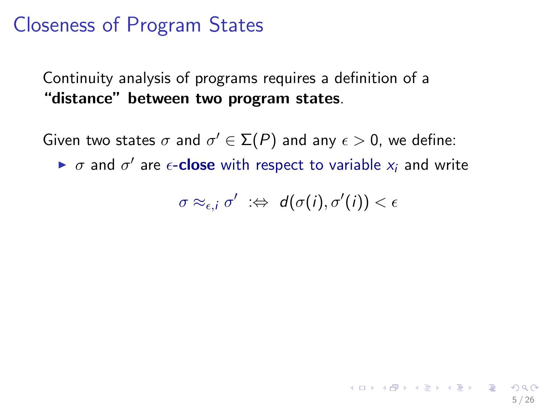#### Closeness of Program States

Continuity analysis of programs requires a definition of a "distance" between two program states.

Given two states  $\sigma$  and  $\sigma' \in \Sigma(P)$  and any  $\epsilon > 0$ , we define:

 $\triangleright$   $\sigma$  and  $\sigma'$  are  $\epsilon$ -close with respect to variable  $x_i$  and write

$$
\sigma\approx_{\epsilon,i}\sigma'\;\;:\Leftrightarrow\;\;d(\sigma(i),\sigma'(i))<\epsilon
$$

5 / 26

イロト 不優 トメ 君 トメ 君 トー 君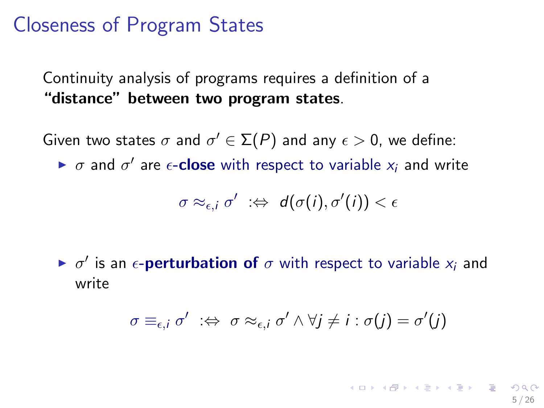#### Closeness of Program States

Continuity analysis of programs requires a definition of a "distance" between two program states.

Given two states  $\sigma$  and  $\sigma' \in \Sigma(P)$  and any  $\epsilon > 0$ , we define:

 $\triangleright$   $\sigma$  and  $\sigma'$  are  $\epsilon$ -close with respect to variable  $x_i$  and write

$$
\sigma\approx_{\epsilon,i}\sigma'\;\;:\Leftrightarrow\;\;d(\sigma(i),\sigma'(i))<\epsilon
$$

 $\blacktriangleright$   $\sigma'$  is an  $\epsilon$ -**perturbation of**  $\sigma$  with respect to variable  $x_i$  and write

$$
\sigma \equiv_{\epsilon,i} \sigma' \ \ \Rightarrow \ \ \sigma \approx_{\epsilon,i} \sigma' \land \forall j \neq i : \sigma(j) = \sigma'(j)
$$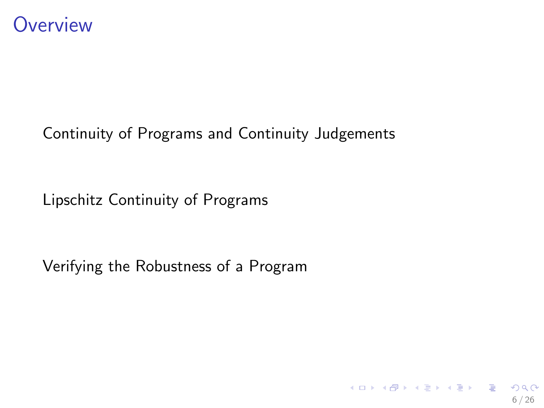

#### [Continuity of Programs and Continuity Judgements](#page-15-0)

[Lipschitz Continuity of Programs](#page-22-0)

[Verifying the Robustness of a Program](#page-38-0)

イロト 不優 ト 不思 ト 不思 トー 温 6 / 26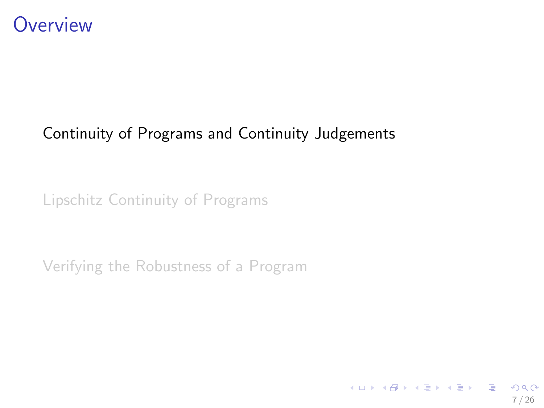

#### [Continuity of Programs and Continuity Judgements](#page-15-0)

[Lipschitz Continuity of Programs](#page-22-0)

[Verifying the Robustness of a Program](#page-38-0)

<span id="page-15-0"></span>イロト 不優 ト 不思 ト 不思 トー 理  $209$ 7 / 26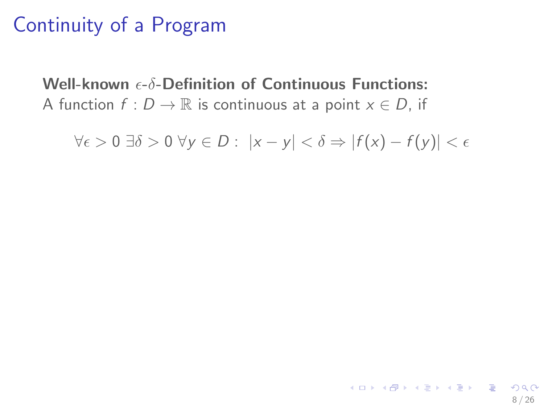# Continuity of a Program

Well-known  $\epsilon$ - $\delta$ -Definition of Continuous Functions: A function  $f: D \to \mathbb{R}$  is continuous at a point  $x \in D$ , if

 $\forall \epsilon > 0 \exists \delta > 0 \ \forall \gamma \in D : |x - \gamma| < \delta \Rightarrow |f(x) - f(\gamma)| < \epsilon$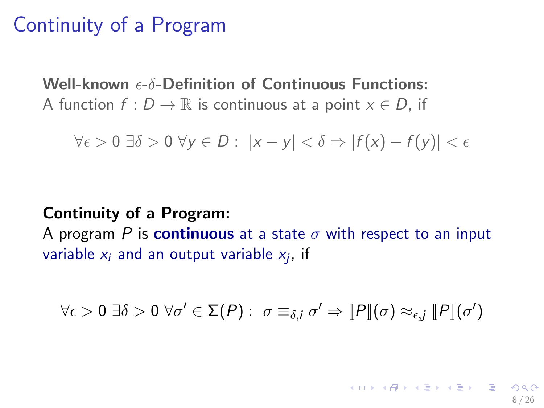#### Continuity of a Program

Well-known  $\epsilon$ - $\delta$ -Definition of Continuous Functions: A function  $f: D \to \mathbb{R}$  is continuous at a point  $x \in D$ , if

 $\forall \epsilon > 0 \exists \delta > 0 \ \forall \gamma \in D : |x - \gamma| < \delta \Rightarrow |f(x) - f(\gamma)| < \epsilon$ 

#### Continuity of a Program:

A program P is continuous at a state  $\sigma$  with respect to an input variable  $x_i$  and an output variable  $x_j$ , if

$$
\forall \epsilon > 0 \; \exists \delta > 0 \; \forall \sigma' \in \Sigma(P): \; \sigma \equiv_{\delta,i} \sigma' \Rightarrow \llbracket P \rrbracket(\sigma) \approx_{\epsilon,j} \llbracket P \rrbracket(\sigma')
$$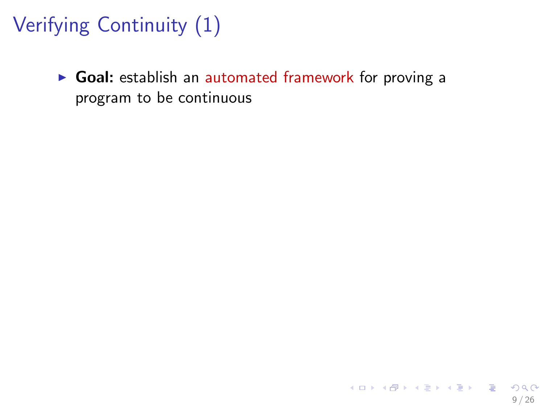# Verifying Continuity (1)

 $\triangleright$  Goal: establish an automated framework for proving a program to be continuous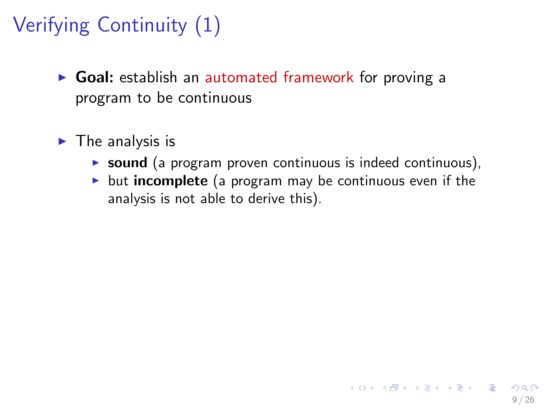# Verifying Continuity (1)

- ▶ Goal: establish an automated framework for proving a program to be continuous
- $\blacktriangleright$  The analysis is
	- $\triangleright$  sound (a program proven continuous is indeed continuous),
	- $\triangleright$  but incomplete (a program may be continuous even if the analysis is not able to derive this).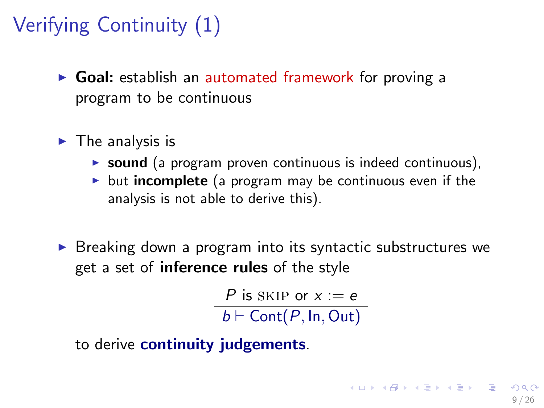# Verifying Continuity (1)

- $\triangleright$  Goal: establish an automated framework for proving a program to be continuous
- $\blacktriangleright$  The analysis is
	- $\triangleright$  sound (a program proven continuous is indeed continuous),
	- $\triangleright$  but incomplete (a program may be continuous even if the analysis is not able to derive this).
- $\triangleright$  Breaking down a program into its syntactic substructures we get a set of **inference rules** of the style

P is SKIP or  $x := e$  $b \vdash$  Cont $(P, \text{In}, \text{Out})$ 

to derive continuity judgements.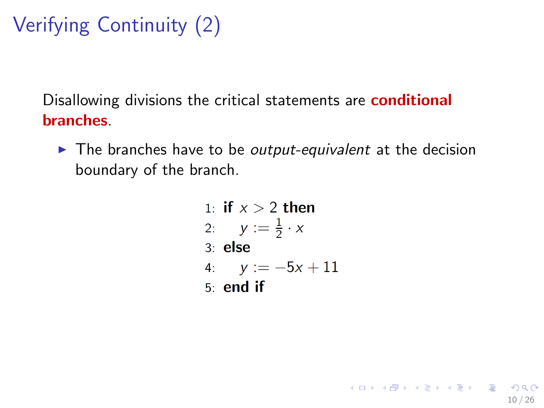# Verifying Continuity (2)

Disallowing divisions the critical statements are **conditional** branches.

- $\blacktriangleright$  The branches have to be *output-equivalent* at the decision boundary of the branch.
	- 1: if  $x > 2$  then 2:  $y := \frac{1}{2} \cdot x$  $3:$  else 4:  $y := -5x + 11$  $5:$  end if

<span id="page-21-0"></span>10 / 26

K ロ ▶ K @ ▶ K 할 > K 할 > → 할 → 9 Q Q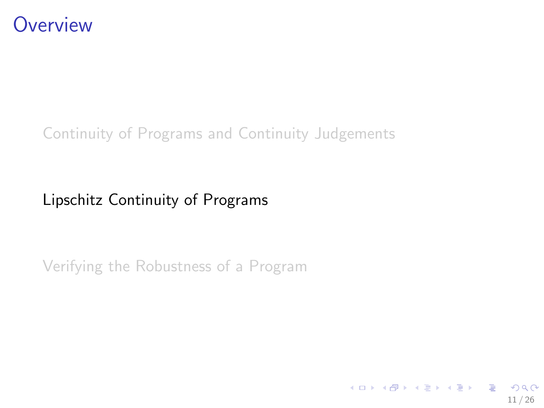

#### [Continuity of Programs and Continuity Judgements](#page-15-0)

#### [Lipschitz Continuity of Programs](#page-22-0)

[Verifying the Robustness of a Program](#page-38-0)

<span id="page-22-0"></span>イロト イ部 トイモト イモトー **E**  $\Omega$ 11 / 26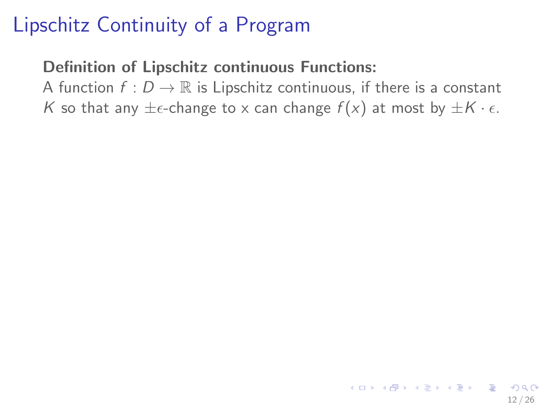#### Definition of Lipschitz continuous Functions:

A function  $f: D \to \mathbb{R}$  is Lipschitz continuous, if there is a constant K so that any  $\pm \epsilon$ -change to x can change  $f(x)$  at most by  $\pm K \cdot \epsilon$ .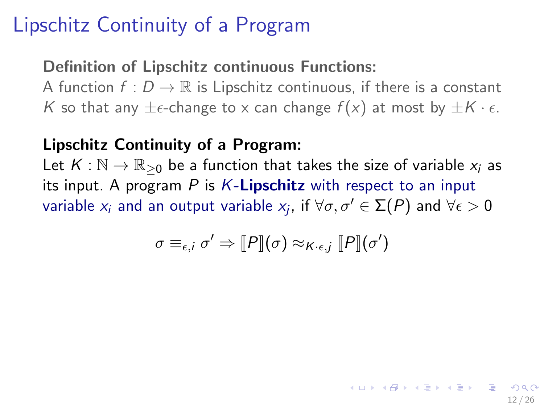#### Definition of Lipschitz continuous Functions:

A function  $f: D \to \mathbb{R}$  is Lipschitz continuous, if there is a constant K so that any  $\pm \epsilon$ -change to x can change  $f(x)$  at most by  $\pm K \cdot \epsilon$ .

#### Lipschitz Continuity of a Program:

Let  $K : \mathbb{N} \to \mathbb{R}_{\geq 0}$  be a function that takes the size of variable  $x_i$  as its input. A program  $P$  is  $K$ -**Lipschitz** with respect to an input variable  $x_i$  and an output variable  $x_j$ , if  $\forall \sigma,\sigma' \in \Sigma(P)$  and  $\forall \epsilon > 0$ 

$$
\sigma \equiv_{\epsilon,i} \sigma' \Rightarrow [P](\sigma) \approx_{K \cdot \epsilon,j} [P](\sigma')
$$

12 / 26

イロメ イ部メ イミメ イミメー 差し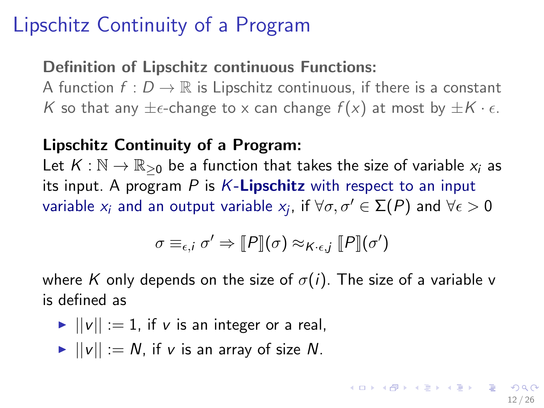#### Definition of Lipschitz continuous Functions:

A function  $f: D \to \mathbb{R}$  is Lipschitz continuous, if there is a constant K so that any  $\pm \epsilon$ -change to x can change  $f(x)$  at most by  $\pm K \cdot \epsilon$ .

#### Lipschitz Continuity of a Program:

Let  $K : \mathbb{N} \to \mathbb{R}_{\geq 0}$  be a function that takes the size of variable  $x_i$  as its input. A program  $P$  is  $K$ -**Lipschitz** with respect to an input variable  $x_i$  and an output variable  $x_j$ , if  $\forall \sigma,\sigma' \in \mathsf{\Sigma}(P)$  and  $\forall \epsilon > 0$ 

$$
\sigma \equiv_{\epsilon,i} \sigma' \Rightarrow \llbracket P \rrbracket(\sigma) \approx_{K \cdot \epsilon,j} \llbracket P \rrbracket(\sigma')
$$

where K only depends on the size of  $\sigma(i)$ . The size of a variable v is defined as

- $||v|| := 1$ , if v is an integer or a real,
- $\blacktriangleright$   $||v|| := N$ , if v is an array of size N.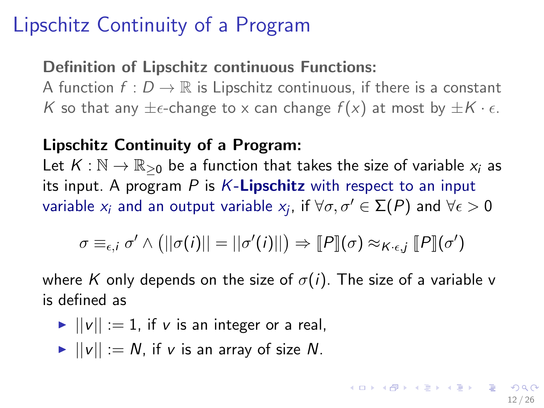#### Definition of Lipschitz continuous Functions:

A function  $f: D \to \mathbb{R}$  is Lipschitz continuous, if there is a constant K so that any  $\pm \epsilon$ -change to x can change  $f(x)$  at most by  $\pm K \cdot \epsilon$ .

#### Lipschitz Continuity of a Program:

Let  $K : \mathbb{N} \to \mathbb{R}_{\geq 0}$  be a function that takes the size of variable  $x_i$  as its input. A program  $P$  is  $K$ -**Lipschitz** with respect to an input variable  $x_i$  and an output variable  $x_j$ , if  $\forall \sigma,\sigma' \in \mathsf{\Sigma}(P)$  and  $\forall \epsilon > 0$ 

$$
\sigma \equiv_{\epsilon,i} \sigma' \wedge (||\sigma(i)|| = ||\sigma'(i)||) \Rightarrow [P](\sigma) \approx_{K \cdot \epsilon,j} [P](\sigma')
$$

where K only depends on the size of  $\sigma(i)$ . The size of a variable v is defined as

 $||v|| := 1$ , if v is an integer or a real,

<span id="page-26-0"></span>
$$
\blacktriangleright ||v|| := N, \text{ if } v \text{ is an array of size } N.
$$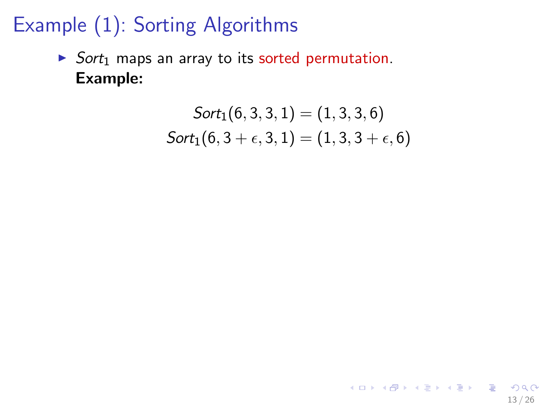$\triangleright$  Sort<sub>1</sub> maps an array to its sorted permutation. Example:

$$
Sort_1(6,3,3,1) = (1,3,3,6)
$$
  

$$
Sort_1(6,3+\epsilon,3,1) = (1,3,3+\epsilon,6)
$$

<span id="page-27-0"></span>13 / 26

K ロ X (日) X (日) X (日) X (日) X (日) X (日) X (日) X (日) X (日) X (日) X (日) X (日)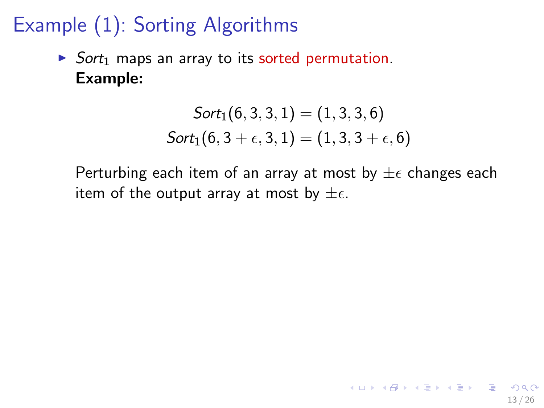$\triangleright$  Sort<sub>1</sub> maps an array to its sorted permutation. Example:

$$
Sort_1(6,3,3,1) = (1,3,3,6)
$$
  

$$
Sort_1(6,3+\epsilon,3,1) = (1,3,3+\epsilon,6)
$$

Perturbing each item of an array at most by  $\pm \epsilon$  changes each item of the output array at most by  $\pm \epsilon$ .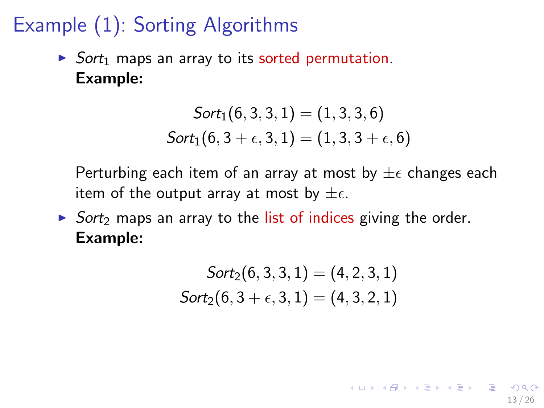$\triangleright$  Sort<sub>1</sub> maps an array to its sorted permutation. Example:

$$
Sort_1(6,3,3,1) = (1,3,3,6)
$$
  

$$
Sort_1(6,3+\epsilon,3,1) = (1,3,3+\epsilon,6)
$$

Perturbing each item of an array at most by  $\pm \epsilon$  changes each item of the output array at most by  $\pm \epsilon$ .

 $\triangleright$  Sort<sub>2</sub> maps an array to the list of indices giving the order. Example:

$$
Sort_2(6, 3, 3, 1) = (4, 2, 3, 1)
$$

$$
Sort_2(6, 3 + \epsilon, 3, 1) = (4, 3, 2, 1)
$$

13 / 26

K ロ ▶ K @ ▶ K 할 ▶ K 할 ▶ ... 할 ... 900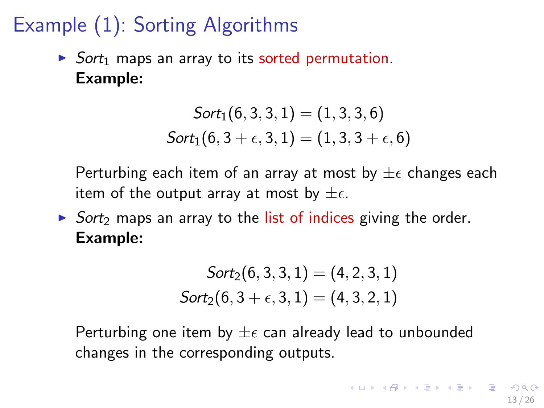$\triangleright$  Sort<sub>1</sub> maps an array to its sorted permutation. Example:

$$
Sort_1(6,3,3,1) = (1,3,3,6)
$$
  

$$
Sort_1(6,3+\epsilon,3,1) = (1,3,3+\epsilon,6)
$$

Perturbing each item of an array at most by  $\pm \epsilon$  changes each item of the output array at most by  $\pm \epsilon$ .

 $\triangleright$  Sort<sub>2</sub> maps an array to the list of indices giving the order. Example:

<span id="page-30-0"></span>
$$
Sort_2(6, 3, 3, 1) = (4, 2, 3, 1)
$$
  

$$
Sort_2(6, 3 + \epsilon, 3, 1) = (4, 3, 2, 1)
$$

Perturbing one item by  $\pm \epsilon$  can already lead to unbounded changes in the corresponding outputs.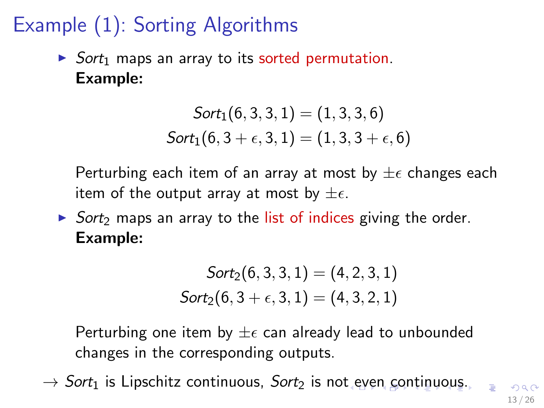$\triangleright$  Sort<sub>1</sub> maps an array to its sorted permutation. Example:

$$
Sort_1(6,3,3,1) = (1,3,3,6)
$$
  

$$
Sort_1(6,3+\epsilon,3,1) = (1,3,3+\epsilon,6)
$$

Perturbing each item of an array at most by  $\pm \epsilon$  changes each item of the output array at most by  $\pm \epsilon$ .

 $\triangleright$  Sort<sub>2</sub> maps an array to the list of indices giving the order. Example:

<span id="page-31-0"></span>
$$
Sort_2(6, 3, 3, 1) = (4, 2, 3, 1)
$$
  

$$
Sort_2(6, 3 + \epsilon, 3, 1) = (4, 3, 2, 1)
$$

Perturbing one item by  $\pm \epsilon$  can already lead to unbounded changes in the corresponding outputs.

 $\rightarrow$  $\rightarrow$  $\rightarrow$  Sort<sub>1</sub> is Lipschitz continuous, Sort<sub>2</sub> is no[t e](#page-30-0)[ve](#page-32-0)[n](#page-37-0) [c](#page-27-0)on[t](#page-21-0)[i](#page-22-0)n[u](#page-22-0)ou[s.](#page-37-0)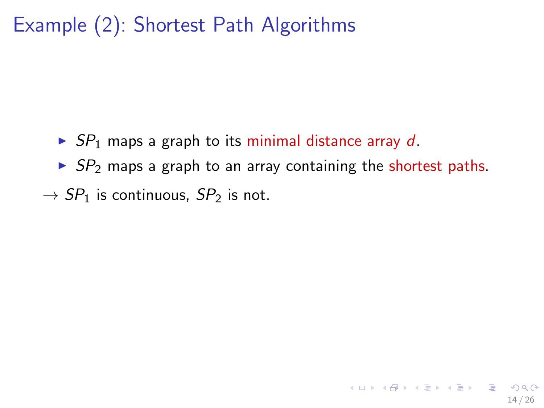### Example (2): Shortest Path Algorithms

- $\triangleright$  SP<sub>1</sub> maps a graph to its minimal distance array d.
- $\triangleright$  SP<sub>2</sub> maps a graph to an array containing the shortest paths.

<span id="page-32-0"></span>14 / 26

K ロ X (日) X (日) X (日) X (日) X (日) X (日) X (日) X (日) X (日) X (日) X (日)

 $\rightarrow$  SP<sub>1</sub> is continuous, SP<sub>2</sub> is not.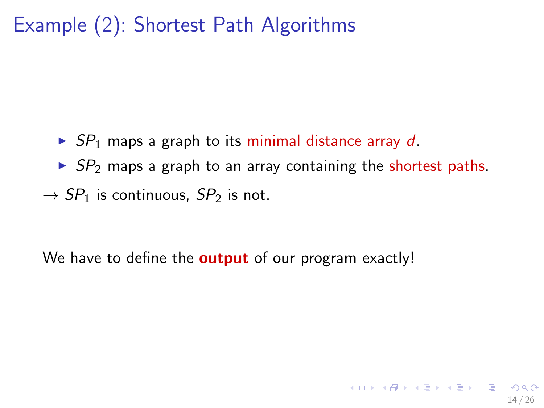### Example (2): Shortest Path Algorithms

- $\triangleright$  SP<sub>1</sub> maps a graph to its minimal distance array d.
- $\triangleright$  SP<sub>2</sub> maps a graph to an array containing the shortest paths.
- $\rightarrow$  SP<sub>1</sub> is continuous, SP<sub>2</sub> is not.

We have to define the **output** of our program exactly!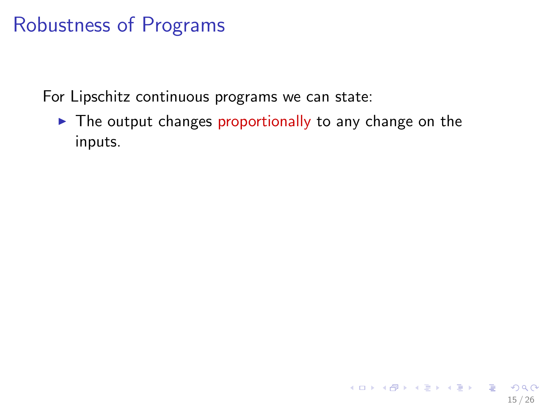For Lipschitz continuous programs we can state:

 $\blacktriangleright$  The output changes proportionally to any change on the inputs.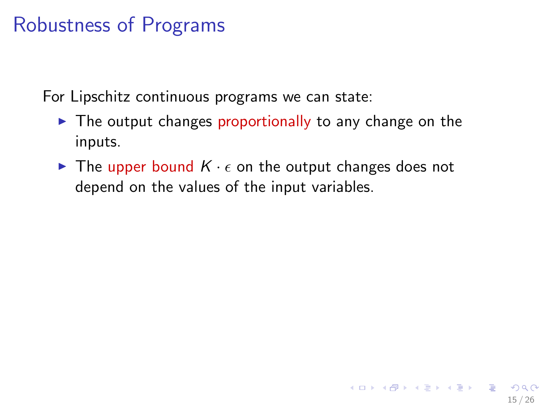For Lipschitz continuous programs we can state:

- $\triangleright$  The output changes proportionally to any change on the inputs.
- $\blacktriangleright$  The upper bound  $K \cdot \epsilon$  on the output changes does not depend on the values of the input variables.

15 / 26

イロト 不優 ト 不差 ト 不差 トー 差し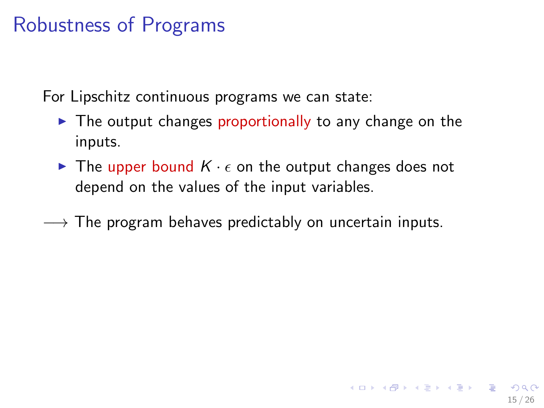For Lipschitz continuous programs we can state:

- $\blacktriangleright$  The output changes proportionally to any change on the inputs.
- $\blacktriangleright$  The upper bound  $K \cdot \epsilon$  on the output changes does not depend on the values of the input variables.

15 / 26

 $\rightarrow$  The program behaves predictably on uncertain inputs.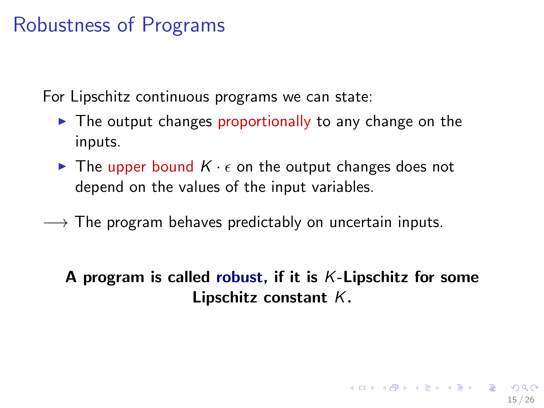For Lipschitz continuous programs we can state:

- $\triangleright$  The output changes proportionally to any change on the inputs.
- $\blacktriangleright$  The upper bound  $K \cdot \epsilon$  on the output changes does not depend on the values of the input variables.
- $\rightarrow$  The program behaves predictably on uncertain inputs.

#### A program is called robust, if it is  $K$ -Lipschitz for some Lipschitz constant K.

<span id="page-37-0"></span>15 / 26

 $\mathbf{E} = \mathbf{A} \oplus \mathbf{B} + \mathbf{A} \oplus \mathbf{B} + \mathbf{A} \oplus \mathbf{B} + \mathbf{A} \oplus \mathbf{A}$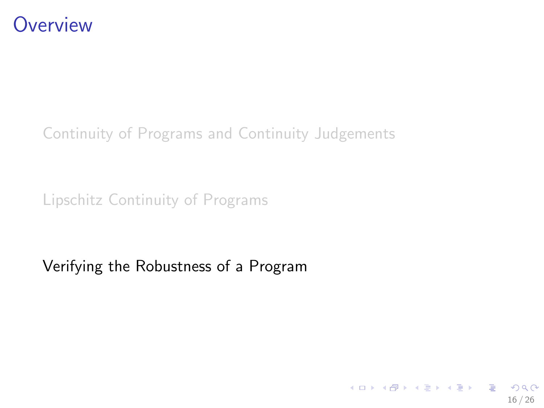

[Continuity of Programs and Continuity Judgements](#page-15-0)

[Lipschitz Continuity of Programs](#page-22-0)

[Verifying the Robustness of a Program](#page-38-0)

<span id="page-38-0"></span>イロト 不優 ト 不思 ト 不思 トー 理  $\Omega$ 16 / 26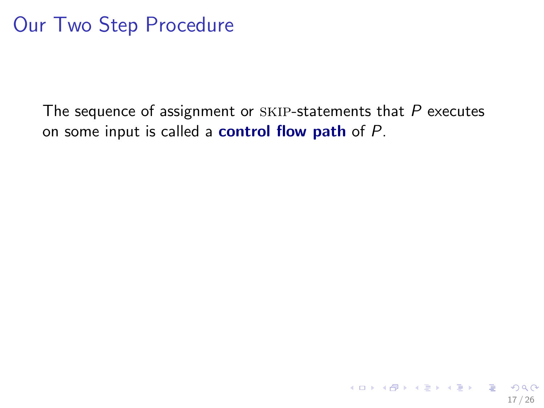#### Our Two Step Procedure

The sequence of assignment or  $SKIP$ -statements that  $P$  executes on some input is called a **control flow path** of  $P$ .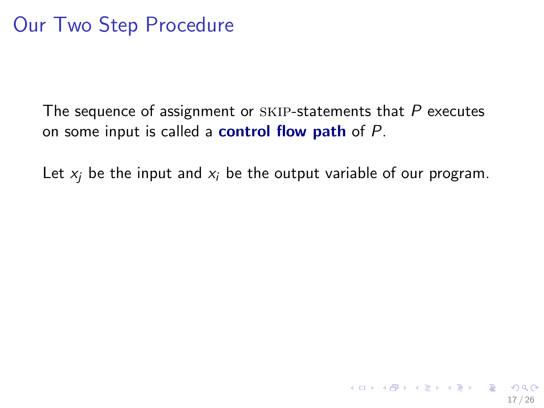The sequence of assignment or  $SKIP$ -statements that  $P$  executes on some input is called a **control flow path** of  $P$ .

Let  $x_i$  be the input and  $x_i$  be the output variable of our program.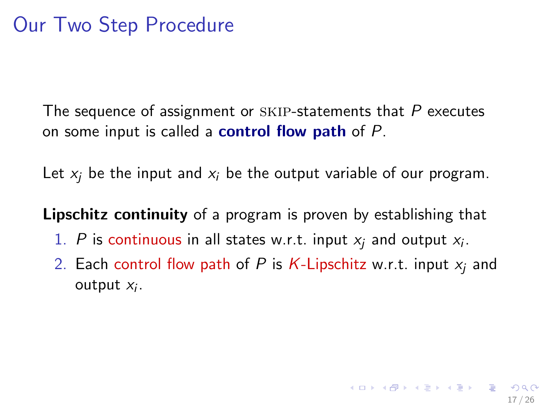The sequence of assignment or  $SKIP$ -statements that  $P$  executes on some input is called a **control flow path** of  $P$ .

Let  $x_i$  be the input and  $x_i$  be the output variable of our program.

Lipschitz continuity of a program is proven by establishing that

- 1. P is continuous in all states w.r.t. input  $x_j$  and output  $x_i$ .
- 2. Each control flow path of P is K-Lipschitz w.r.t. input  $x_i$  and output  $x_i$ .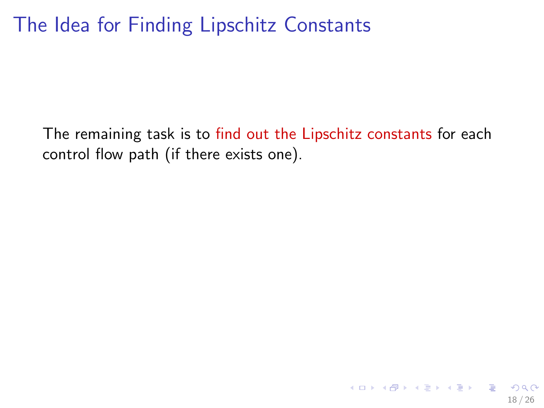### The Idea for Finding Lipschitz Constants

The remaining task is to find out the Lipschitz constants for each control flow path (if there exists one).

18 / 26

K ロ X K @ X K 경 X X 경 X X 경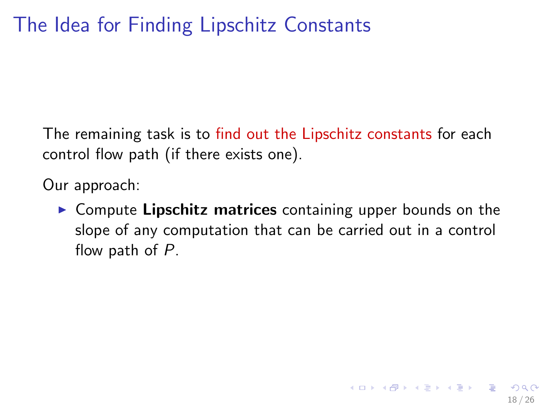The remaining task is to find out the Lipschitz constants for each control flow path (if there exists one).

Our approach:

 $\triangleright$  Compute Lipschitz matrices containing upper bounds on the slope of any computation that can be carried out in a control flow path of P.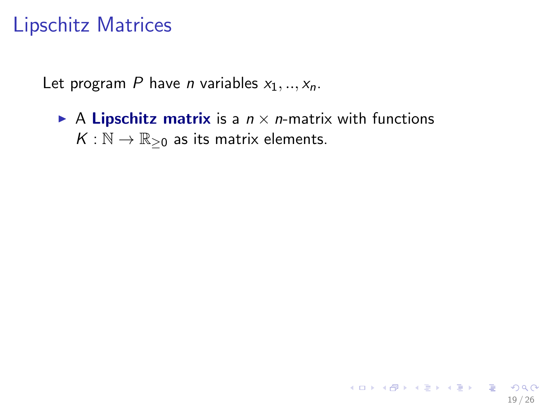#### Lipschitz Matrices

Let program P have *n* variables  $x_1, ..., x_n$ .

A Lipschitz matrix is a  $n \times n$ -matrix with functions  $K : \mathbb{N} \to \mathbb{R}_{\geq 0}$  as its matrix elements.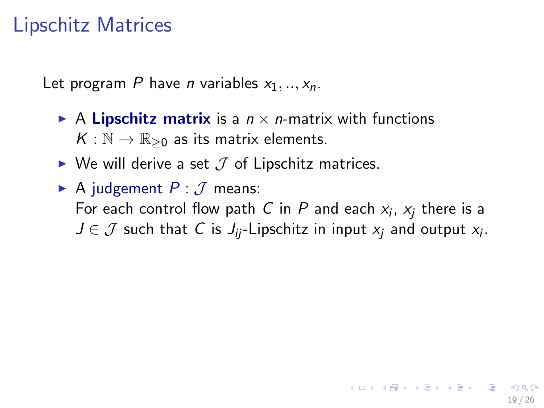#### Lipschitz Matrices

Let program P have *n* variables  $x_1, ..., x_n$ .

- A Lipschitz matrix is a  $n \times n$ -matrix with functions  $K : \mathbb{N} \to \mathbb{R}_{\geq 0}$  as its matrix elements.
- $\triangleright$  We will derive a set  $\mathcal J$  of Lipschitz matrices.
- A judgement  $P: \mathcal{J}$  means: For each control flow path  $C$  in  $P$  and each  $x_i$ ,  $x_j$  there is a  $J \in \mathcal{J}$  such that C is  $J_{ij}$ -Lipschitz in input  $x_j$  and output  $x_i$ .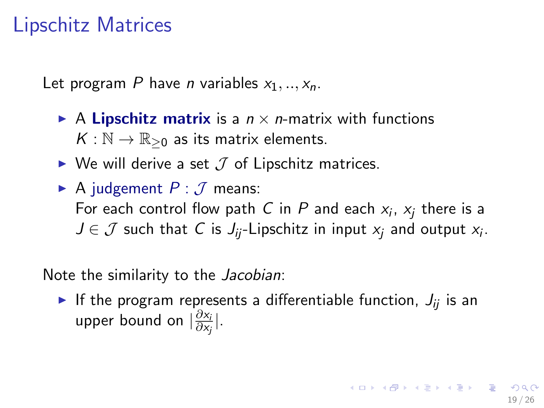#### Lipschitz Matrices

Let program P have *n* variables  $x_1, \ldots, x_n$ .

- A Lipschitz matrix is a  $n \times n$ -matrix with functions  $K : \mathbb{N} \to \mathbb{R}_{\geq 0}$  as its matrix elements.
- $\triangleright$  We will derive a set  $\mathcal J$  of Lipschitz matrices.
- A judgement  $P: \mathcal{J}$  means: For each control flow path  $C$  in  $P$  and each  $x_i$ ,  $x_j$  there is a  $J \in \mathcal{J}$  such that C is  $J_{ij}$ -Lipschitz in input  $x_j$  and output  $x_i$ .

Note the similarity to the Jacobian:

If the program represents a differentiable function,  $J_{ii}$  is an upper bound on  $\frac{\partial x_i}{\partial x}$  $\frac{\partial x_i}{\partial x_j}|.$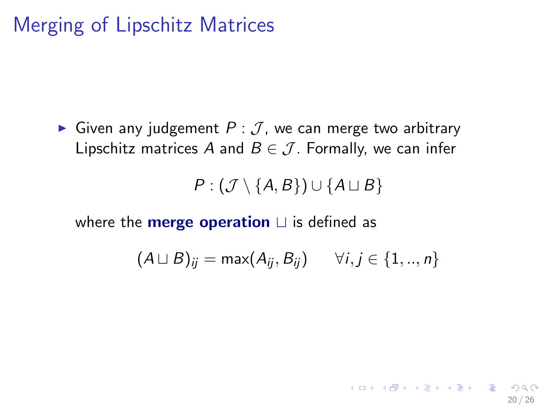### Merging of Lipschitz Matrices

Given any judgement  $P: \mathcal{J}$ , we can merge two arbitrary Lipschitz matrices A and  $B \in \mathcal{J}$ . Formally, we can infer

 $P$  :  $(\mathcal{J} \setminus \{A, B\}) \cup \{A \sqcup B\}$ 

where the **merge operation**  $\sqcup$  is defined as

$$
(A \sqcup B)_{ij} = \max(A_{ij}, B_{ij}) \qquad \forall i, j \in \{1,..,n\}
$$

20 / 26

K ロ ▶ K @ ▶ K 할 > K 할 > → 할 → 9 Q Q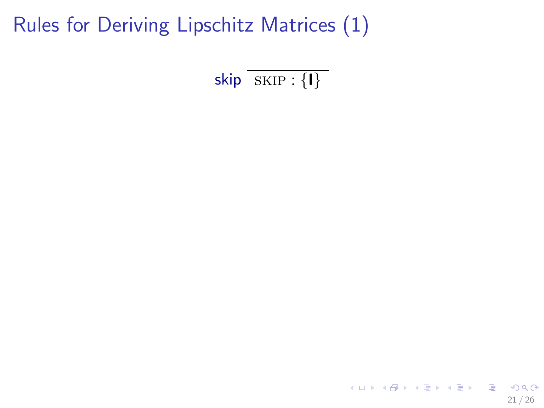skip  $\overline{\text{SKIP}:\{| \} }$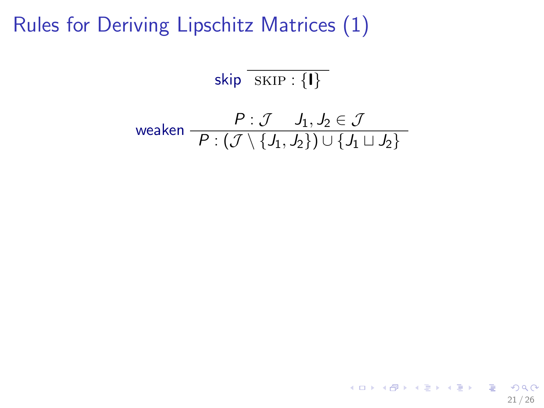$$
\overline{\textsf{skip} \, \overline{\,\textsf{SKIP} : \{\textbf{I}\}\,\,}
$$

$$
\text{weaken} \quad \frac{P: \mathcal{J} \quad J_1, J_2 \in \mathcal{J}}{P: (\mathcal{J} \setminus \{J_1, J_2\}) \cup \{J_1 \sqcup J_2\}}
$$

K ロ ▶ K @ ▶ K 할 ▶ K 할 ▶ 이 할 → 9 Q Q → 21 / 26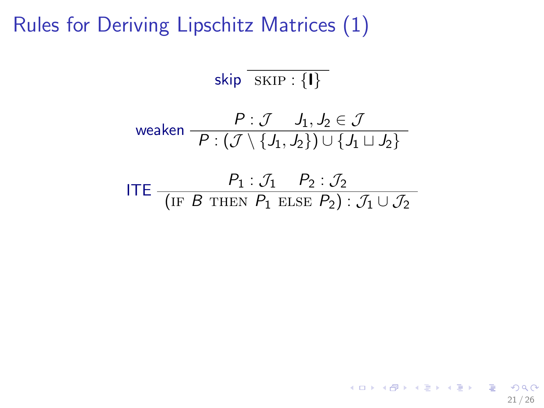$$
\overline{\textsf{skip} \, \overline{\textsf{SKIP} : \{\textbf{I}\}\}}
$$

$$
\text{weaken} \quad \frac{P: \mathcal{J} \quad J_1, J_2 \in \mathcal{J}}{P: (\mathcal{J} \setminus \{J_1, J_2\}) \cup \{J_1 \sqcup J_2\}}
$$

ITE 
$$
\frac{P_1 : \mathcal{J}_1 \quad P_2 : \mathcal{J}_2}{(\text{IF } B \text{ THEN } P_1 \text{ ELSE } P_2) : \mathcal{J}_1 \cup \mathcal{J}_2}
$$

21 / 26

K ロ ▶ K @ ▶ K 할 ▶ K 할 ▶ → 할 → 9 Q @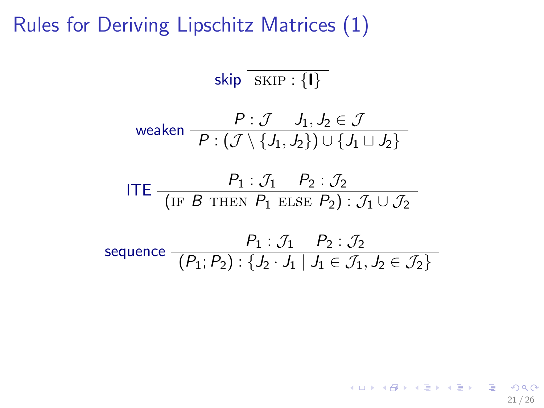$$
\overline{\textsf{skip} \, \overline{\textsf{SKIP} : \{\textbf{I}\}\}}
$$

$$
\text{weaken} \quad \frac{P: \mathcal{J} \quad J_1, J_2 \in \mathcal{J}}{P: (\mathcal{J} \setminus \{J_1, J_2\}) \cup \{J_1 \sqcup J_2\}}
$$

ITE 
$$
\frac{P_1 : \mathcal{J}_1 \quad P_2 : \mathcal{J}_2}{(\text{IF } B \text{ THEN } P_1 \text{ ELSE } P_2) : \mathcal{J}_1 \cup \mathcal{J}_2}
$$

sequence 
$$
\frac{P_1 : \mathcal{J}_1 \quad P_2 : \mathcal{J}_2}{(P_1; P_2) : \{J_2 \cdot J_1 \mid J_1 \in \mathcal{J}_1, J_2 \in \mathcal{J}_2\}}
$$

21 / 26

 $\eta$ 

イロト イ団 トイモト イモト 一毛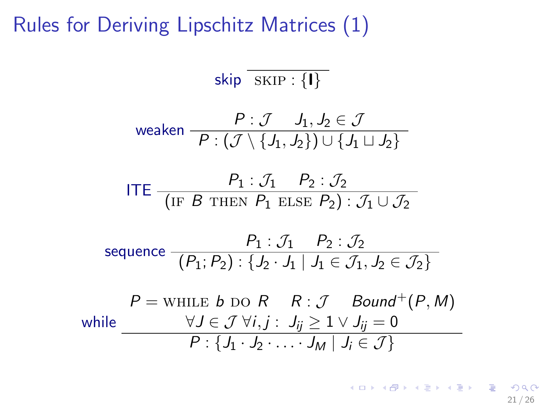$$
\textsf{skip} \overline{\textsf{skip} \cdot \textsf{SKIP} : \{\textbf{I}\}}
$$

$$
\text{weaken} \quad \frac{P: \mathcal{J} \quad J_1, J_2 \in \mathcal{J}}{P: (\mathcal{J} \setminus \{J_1, J_2\}) \cup \{J_1 \sqcup J_2\}}
$$

ITE 
$$
\frac{P_1 : \mathcal{J}_1 \quad P_2 : \mathcal{J}_2}{(\text{IF } B \text{ THEN } P_1 \text{ ELSE } P_2) : \mathcal{J}_1 \cup \mathcal{J}_2}
$$

sequence 
$$
\frac{P_1 : \mathcal{J}_1 \quad P_2 : \mathcal{J}_2}{(P_1; P_2) : \{J_2 \cdot J_1 \mid J_1 \in \mathcal{J}_1, J_2 \in \mathcal{J}_2\}}
$$

$$
P = \text{whILE } b \text{ DO } R \quad R : \mathcal{J} \quad \text{Bound}^+(P, M)
$$
\n
$$
\text{while } \frac{\forall J \in \mathcal{J} \,\forall i, j : J_{ij} \geq 1 \vee J_{ij} = 0}{P : \{J_1 \cdot J_2 \cdot \ldots \cdot J_M \mid J_i \in \mathcal{J}\}}
$$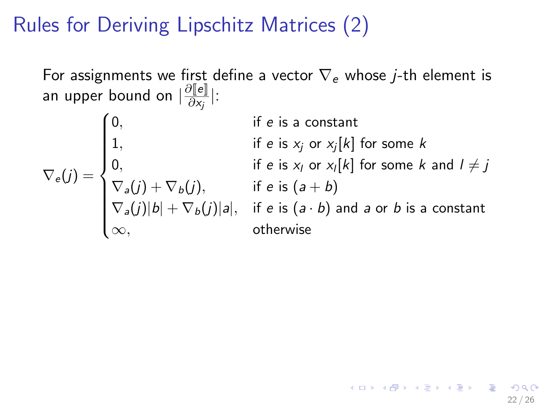For assignments we first define a vector  $\nabla_e$  whose *j*-th element is an upper bound on  $|\frac{\partial \| \boldsymbol e \|}{\partial x_j}|$ :

$$
\nabla_e(j) = \begin{cases}\n0, & \text{if } e \text{ is a constant} \\
1, & \text{if } e \text{ is } x_j \text{ or } x_j[k] \text{ for some } k \\
0, & \text{if } e \text{ is } x_l \text{ or } x_l[k] \text{ for some } k \text{ and } l \neq j \\
\nabla_a(j) + \nabla_b(j), & \text{if } e \text{ is } (a + b) \\
\nabla_a(j)|b| + \nabla_b(j)|a|, & \text{if } e \text{ is } (a \cdot b) \text{ and } a \text{ or } b \text{ is a constant} \\
\infty, & \text{otherwise}\n\end{cases}
$$

22 / 26

イロト 不優 ト 不差 ト 不差 トー 差し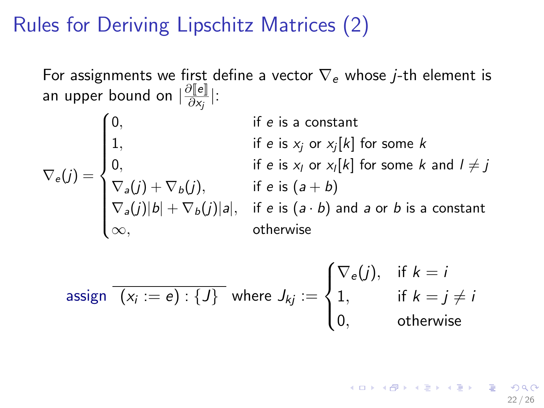For assignments we first define a vector  $\nabla_e$  whose *j*-th element is an upper bound on  $|\frac{\partial \| \boldsymbol e \|}{\partial x_j}|$ :

$$
\nabla_e(j) = \begin{cases}\n0, & \text{if } e \text{ is a constant} \\
1, & \text{if } e \text{ is } x_j \text{ or } x_j[k] \text{ for some } k \\
0, & \text{if } e \text{ is } x_l \text{ or } x_l[k] \text{ for some } k \text{ and } l \neq j \\
\nabla_a(j) + \nabla_b(j), & \text{if } e \text{ is } (a + b) \\
\nabla_a(j)|b| + \nabla_b(j)|a|, & \text{if } e \text{ is } (a \cdot b) \text{ and } a \text{ or } b \text{ is a constant} \\
\infty, & \text{otherwise}\n\end{cases}
$$

\n
$$
\text{assign } \overline{(x_i := e) : \{J\}} \text{ where } J_{kj} :=\n \begin{cases}\n \n \n \n \n \n \n \sqrt{e(j)}, & \text{if } k = j \neq j, \\
 \n 1, & \text{if } k = j \neq j, \\
 \n 0, & \text{otherwise}\n \end{cases}
$$
\n

イロト 不優 ト 不差 ト 不差 トー 差し 22 / 26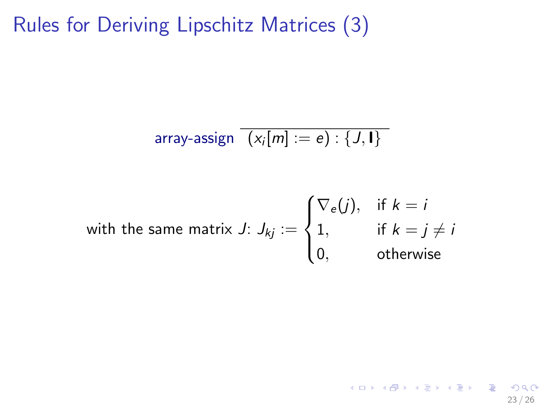array-assign 
$$
\overline{(x_i[m] := e) : \{J, I\}}
$$

with the same matrix J: 
$$
J_{kj} := \begin{cases} \nabla_e(j), & \text{if } k = j \\ 1, & \text{if } k = j \neq i \\ 0, & \text{otherwise} \end{cases}
$$

<span id="page-55-0"></span>
$$
4 \Box \rightarrow 4 \Box \rightarrow 4 \Xi \rightarrow 4 \Xi \rightarrow \Xi \rightarrow 9 \%
$$
  
23/26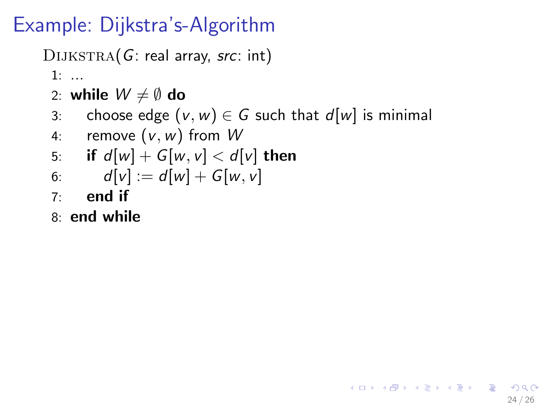### Example: Dijkstra's-Algorithm

DIJKSTRA(G: real array, src: int)

1: ...

- 2: while  $W \neq \emptyset$  do
- 3: choose edge  $(v, w) \in G$  such that  $d[w]$  is minimal

<span id="page-56-0"></span>24 / 26

K ロ X (日) X (日) X (日) X (日) X (日) X (日) X (日) X (日) X (日) X (日) X (日)

4: remove  $(v, w)$  from W

5: if 
$$
d[w] + G[w, v] < d[v]
$$
 then

6: 
$$
d[v] := d[w] + G[w, v]
$$

- $7<sup>°</sup>$  end if
- 8: end while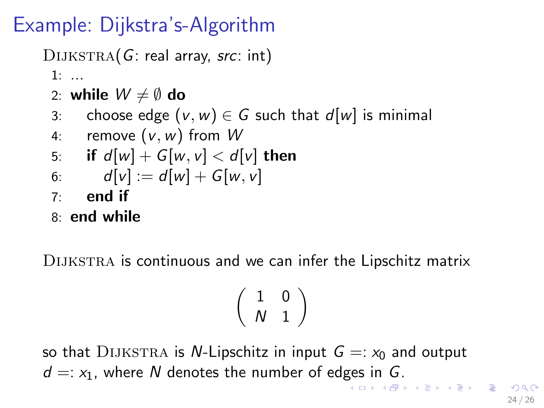### Example: Dijkstra's-Algorithm

 $D1JKSTRA(G: real array, src: int)$ 

1: ...

- 2: while  $W \neq \emptyset$  do
- 3: choose edge  $(v, w) \in G$  such that  $d[w]$  is minimal
- 4: remove  $(v, w)$  from W

5: if 
$$
d[w] + G[w, v] < d[v]
$$
 then

6: 
$$
d[v] := d[w] + G[w, v]
$$

 $7<sup>°</sup>$  end if

8: end while

DIJKSTRA is continuous and we can infer the Lipschitz matrix

<span id="page-57-0"></span>
$$
\left(\begin{array}{cc} 1 & 0 \\ {\cal N} & 1 \end{array}\right)
$$

so that DIJKSTRA is *N*-Lipschitz in input  $G =: x_0$  and output  $d =: x_1$ , where N denotes the number of ed[ges](#page-56-0) [in](#page-58-0) [G](#page-56-0)[.](#page-58-0)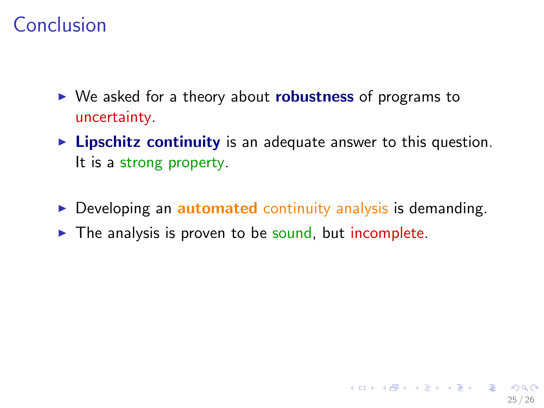### Conclusion

- $\triangleright$  We asked for a theory about **robustness** of programs to uncertainty.
- $\triangleright$  Lipschitz continuity is an adequate answer to this question. It is a strong property.
- $\triangleright$  Developing an **automated** continuity analysis is demanding.
- <span id="page-58-0"></span> $\triangleright$  The analysis is proven to be sound, but incomplete.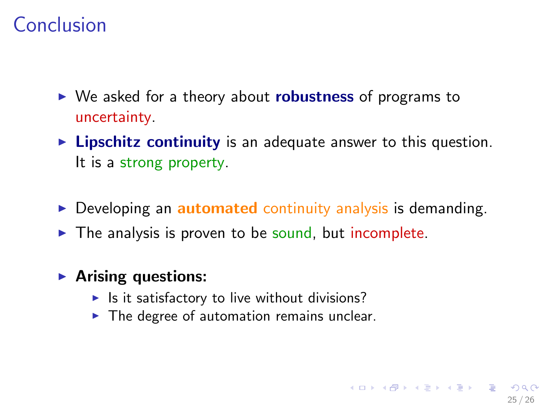### Conclusion

- $\triangleright$  We asked for a theory about **robustness** of programs to uncertainty.
- $\triangleright$  Lipschitz continuity is an adequate answer to this question. It is a strong property.
- $\triangleright$  Developing an **automated** continuity analysis is demanding.

25 / 26

K ロ ▶ K @ ▶ K 할 > K 할 > → 할 → 9 Q Q

 $\triangleright$  The analysis is proven to be sound, but incomplete.

#### $\blacktriangleright$  Arising questions:

- $\blacktriangleright$  Is it satisfactory to live without divisions?
- $\triangleright$  The degree of automation remains unclear.